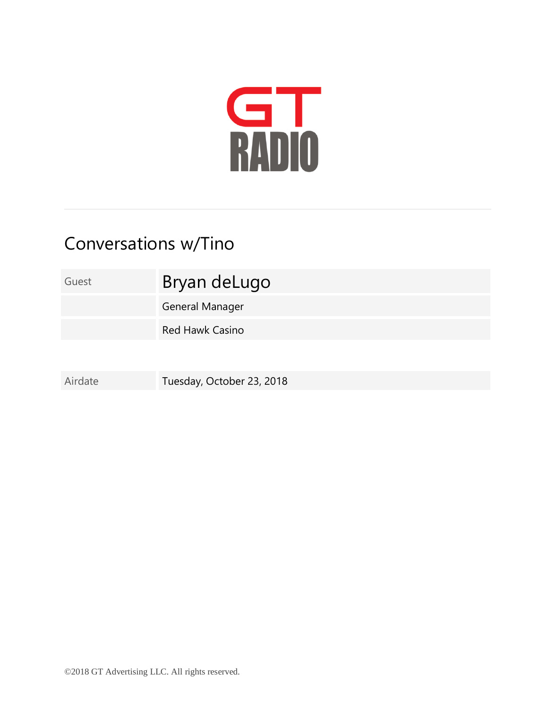

## Conversations w/Tino

Guest Bryan deLugo

General Manager

Red Hawk Casino

Airdate Tuesday, October 23, 2018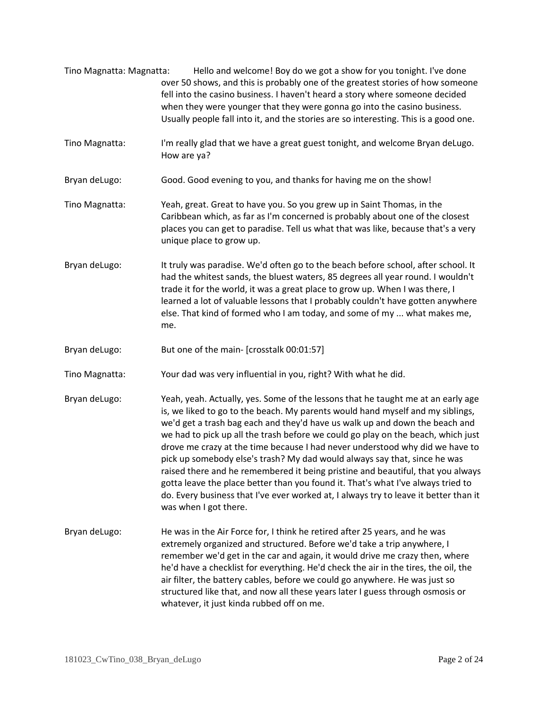- Tino Magnatta: Magnatta: Hello and welcome! Boy do we got a show for you tonight. I've done over 50 shows, and this is probably one of the greatest stories of how someone fell into the casino business. I haven't heard a story where someone decided when they were younger that they were gonna go into the casino business. Usually people fall into it, and the stories are so interesting. This is a good one.
- Tino Magnatta: I'm really glad that we have a great guest tonight, and welcome Bryan deLugo. How are ya?
- Bryan deLugo: Good. Good evening to you, and thanks for having me on the show!
- Tino Magnatta: Yeah, great. Great to have you. So you grew up in Saint Thomas, in the Caribbean which, as far as I'm concerned is probably about one of the closest places you can get to paradise. Tell us what that was like, because that's a very unique place to grow up.
- Bryan deLugo: It truly was paradise. We'd often go to the beach before school, after school. It had the whitest sands, the bluest waters, 85 degrees all year round. I wouldn't trade it for the world, it was a great place to grow up. When I was there, I learned a lot of valuable lessons that I probably couldn't have gotten anywhere else. That kind of formed who I am today, and some of my ... what makes me, me.
- Bryan deLugo: But one of the main- [crosstalk 00:01:57]
- Tino Magnatta: Your dad was very influential in you, right? With what he did.
- Bryan deLugo: Yeah, yeah. Actually, yes. Some of the lessons that he taught me at an early age is, we liked to go to the beach. My parents would hand myself and my siblings, we'd get a trash bag each and they'd have us walk up and down the beach and we had to pick up all the trash before we could go play on the beach, which just drove me crazy at the time because I had never understood why did we have to pick up somebody else's trash? My dad would always say that, since he was raised there and he remembered it being pristine and beautiful, that you always gotta leave the place better than you found it. That's what I've always tried to do. Every business that I've ever worked at, I always try to leave it better than it was when I got there.
- Bryan deLugo: He was in the Air Force for, I think he retired after 25 years, and he was extremely organized and structured. Before we'd take a trip anywhere, I remember we'd get in the car and again, it would drive me crazy then, where he'd have a checklist for everything. He'd check the air in the tires, the oil, the air filter, the battery cables, before we could go anywhere. He was just so structured like that, and now all these years later I guess through osmosis or whatever, it just kinda rubbed off on me.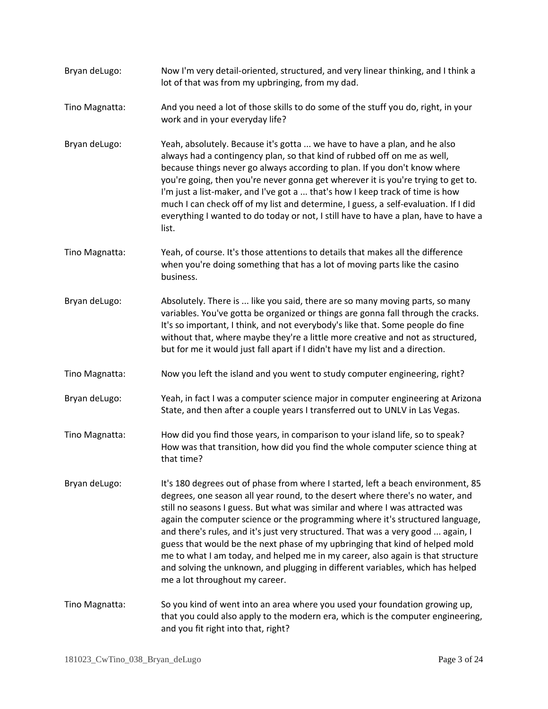Bryan deLugo: Now I'm very detail-oriented, structured, and very linear thinking, and I think a lot of that was from my upbringing, from my dad. Tino Magnatta: And you need a lot of those skills to do some of the stuff you do, right, in your work and in your everyday life? Bryan deLugo: Yeah, absolutely. Because it's gotta ... we have to have a plan, and he also always had a contingency plan, so that kind of rubbed off on me as well, because things never go always according to plan. If you don't know where you're going, then you're never gonna get wherever it is you're trying to get to. I'm just a list-maker, and I've got a ... that's how I keep track of time is how much I can check off of my list and determine, I guess, a self-evaluation. If I did everything I wanted to do today or not, I still have to have a plan, have to have a list. Tino Magnatta: Yeah, of course. It's those attentions to details that makes all the difference when you're doing something that has a lot of moving parts like the casino business. Bryan deLugo: Absolutely. There is ... like you said, there are so many moving parts, so many variables. You've gotta be organized or things are gonna fall through the cracks. It's so important, I think, and not everybody's like that. Some people do fine without that, where maybe they're a little more creative and not as structured, but for me it would just fall apart if I didn't have my list and a direction. Tino Magnatta: Now you left the island and you went to study computer engineering, right? Bryan deLugo: Yeah, in fact I was a computer science major in computer engineering at Arizona State, and then after a couple years I transferred out to UNLV in Las Vegas. Tino Magnatta: How did you find those years, in comparison to your island life, so to speak? How was that transition, how did you find the whole computer science thing at that time? Bryan deLugo: It's 180 degrees out of phase from where I started, left a beach environment, 85 degrees, one season all year round, to the desert where there's no water, and still no seasons I guess. But what was similar and where I was attracted was again the computer science or the programming where it's structured language, and there's rules, and it's just very structured. That was a very good ... again, I guess that would be the next phase of my upbringing that kind of helped mold me to what I am today, and helped me in my career, also again is that structure and solving the unknown, and plugging in different variables, which has helped me a lot throughout my career. Tino Magnatta: So you kind of went into an area where you used your foundation growing up, that you could also apply to the modern era, which is the computer engineering, and you fit right into that, right?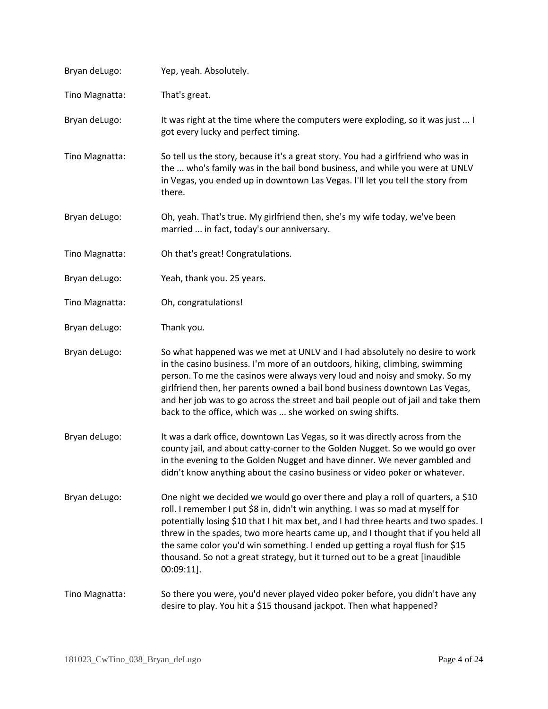| Bryan deLugo:  | Yep, yeah. Absolutely.                                                                                                                                                                                                                                                                                                                                                                                                                                                                                                           |
|----------------|----------------------------------------------------------------------------------------------------------------------------------------------------------------------------------------------------------------------------------------------------------------------------------------------------------------------------------------------------------------------------------------------------------------------------------------------------------------------------------------------------------------------------------|
| Tino Magnatta: | That's great.                                                                                                                                                                                                                                                                                                                                                                                                                                                                                                                    |
| Bryan deLugo:  | It was right at the time where the computers were exploding, so it was just  I<br>got every lucky and perfect timing.                                                                                                                                                                                                                                                                                                                                                                                                            |
| Tino Magnatta: | So tell us the story, because it's a great story. You had a girlfriend who was in<br>the  who's family was in the bail bond business, and while you were at UNLV<br>in Vegas, you ended up in downtown Las Vegas. I'll let you tell the story from<br>there.                                                                                                                                                                                                                                                                     |
| Bryan deLugo:  | Oh, yeah. That's true. My girlfriend then, she's my wife today, we've been<br>married  in fact, today's our anniversary.                                                                                                                                                                                                                                                                                                                                                                                                         |
| Tino Magnatta: | Oh that's great! Congratulations.                                                                                                                                                                                                                                                                                                                                                                                                                                                                                                |
| Bryan deLugo:  | Yeah, thank you. 25 years.                                                                                                                                                                                                                                                                                                                                                                                                                                                                                                       |
| Tino Magnatta: | Oh, congratulations!                                                                                                                                                                                                                                                                                                                                                                                                                                                                                                             |
| Bryan deLugo:  | Thank you.                                                                                                                                                                                                                                                                                                                                                                                                                                                                                                                       |
| Bryan deLugo:  | So what happened was we met at UNLV and I had absolutely no desire to work<br>in the casino business. I'm more of an outdoors, hiking, climbing, swimming<br>person. To me the casinos were always very loud and noisy and smoky. So my<br>girlfriend then, her parents owned a bail bond business downtown Las Vegas,<br>and her job was to go across the street and bail people out of jail and take them<br>back to the office, which was  she worked on swing shifts.                                                        |
| Bryan deLugo:  | It was a dark office, downtown Las Vegas, so it was directly across from the<br>county jail, and about catty-corner to the Golden Nugget. So we would go over<br>in the evening to the Golden Nugget and have dinner. We never gambled and<br>didn't know anything about the casino business or video poker or whatever.                                                                                                                                                                                                         |
| Bryan deLugo:  | One night we decided we would go over there and play a roll of quarters, a \$10<br>roll. I remember I put \$8 in, didn't win anything. I was so mad at myself for<br>potentially losing \$10 that I hit max bet, and I had three hearts and two spades. I<br>threw in the spades, two more hearts came up, and I thought that if you held all<br>the same color you'd win something. I ended up getting a royal flush for \$15<br>thousand. So not a great strategy, but it turned out to be a great [inaudible<br>$00:09:11$ ]. |
| Tino Magnatta: | So there you were, you'd never played video poker before, you didn't have any<br>desire to play. You hit a \$15 thousand jackpot. Then what happened?                                                                                                                                                                                                                                                                                                                                                                            |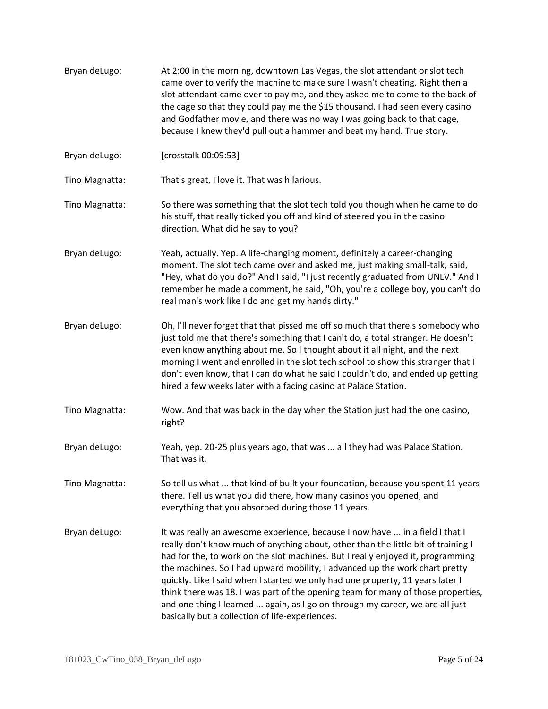| Bryan deLugo:  | At 2:00 in the morning, downtown Las Vegas, the slot attendant or slot tech<br>came over to verify the machine to make sure I wasn't cheating. Right then a<br>slot attendant came over to pay me, and they asked me to come to the back of<br>the cage so that they could pay me the \$15 thousand. I had seen every casino<br>and Godfather movie, and there was no way I was going back to that cage,<br>because I knew they'd pull out a hammer and beat my hand. True story.                                                                                                                                                             |
|----------------|-----------------------------------------------------------------------------------------------------------------------------------------------------------------------------------------------------------------------------------------------------------------------------------------------------------------------------------------------------------------------------------------------------------------------------------------------------------------------------------------------------------------------------------------------------------------------------------------------------------------------------------------------|
| Bryan deLugo:  | [crosstalk 00:09:53]                                                                                                                                                                                                                                                                                                                                                                                                                                                                                                                                                                                                                          |
| Tino Magnatta: | That's great, I love it. That was hilarious.                                                                                                                                                                                                                                                                                                                                                                                                                                                                                                                                                                                                  |
| Tino Magnatta: | So there was something that the slot tech told you though when he came to do<br>his stuff, that really ticked you off and kind of steered you in the casino<br>direction. What did he say to you?                                                                                                                                                                                                                                                                                                                                                                                                                                             |
| Bryan deLugo:  | Yeah, actually. Yep. A life-changing moment, definitely a career-changing<br>moment. The slot tech came over and asked me, just making small-talk, said,<br>"Hey, what do you do?" And I said, "I just recently graduated from UNLV." And I<br>remember he made a comment, he said, "Oh, you're a college boy, you can't do<br>real man's work like I do and get my hands dirty."                                                                                                                                                                                                                                                             |
| Bryan deLugo:  | Oh, I'll never forget that that pissed me off so much that there's somebody who<br>just told me that there's something that I can't do, a total stranger. He doesn't<br>even know anything about me. So I thought about it all night, and the next<br>morning I went and enrolled in the slot tech school to show this stranger that I<br>don't even know, that I can do what he said I couldn't do, and ended up getting<br>hired a few weeks later with a facing casino at Palace Station.                                                                                                                                                  |
| Tino Magnatta: | Wow. And that was back in the day when the Station just had the one casino,<br>right?                                                                                                                                                                                                                                                                                                                                                                                                                                                                                                                                                         |
| Bryan deLugo:  | Yeah, yep. 20-25 plus years ago, that was  all they had was Palace Station.<br>That was it.                                                                                                                                                                                                                                                                                                                                                                                                                                                                                                                                                   |
| Tino Magnatta: | So tell us what  that kind of built your foundation, because you spent 11 years<br>there. Tell us what you did there, how many casinos you opened, and<br>everything that you absorbed during those 11 years.                                                                                                                                                                                                                                                                                                                                                                                                                                 |
| Bryan deLugo:  | It was really an awesome experience, because I now have  in a field I that I<br>really don't know much of anything about, other than the little bit of training I<br>had for the, to work on the slot machines. But I really enjoyed it, programming<br>the machines. So I had upward mobility, I advanced up the work chart pretty<br>quickly. Like I said when I started we only had one property, 11 years later I<br>think there was 18. I was part of the opening team for many of those properties,<br>and one thing I learned  again, as I go on through my career, we are all just<br>basically but a collection of life-experiences. |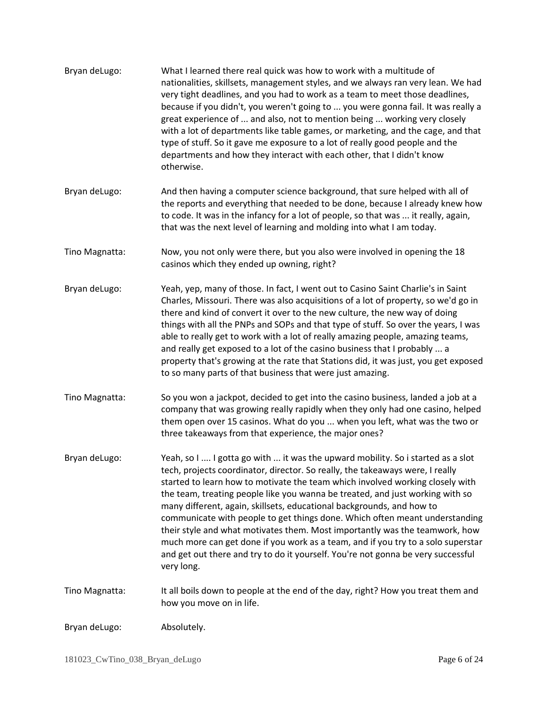| Bryan deLugo:  | What I learned there real quick was how to work with a multitude of<br>nationalities, skillsets, management styles, and we always ran very lean. We had<br>very tight deadlines, and you had to work as a team to meet those deadlines,<br>because if you didn't, you weren't going to  you were gonna fail. It was really a<br>great experience of  and also, not to mention being  working very closely<br>with a lot of departments like table games, or marketing, and the cage, and that<br>type of stuff. So it gave me exposure to a lot of really good people and the<br>departments and how they interact with each other, that I didn't know<br>otherwise.                                                                                            |
|----------------|-----------------------------------------------------------------------------------------------------------------------------------------------------------------------------------------------------------------------------------------------------------------------------------------------------------------------------------------------------------------------------------------------------------------------------------------------------------------------------------------------------------------------------------------------------------------------------------------------------------------------------------------------------------------------------------------------------------------------------------------------------------------|
| Bryan deLugo:  | And then having a computer science background, that sure helped with all of<br>the reports and everything that needed to be done, because I already knew how<br>to code. It was in the infancy for a lot of people, so that was  it really, again,<br>that was the next level of learning and molding into what I am today.                                                                                                                                                                                                                                                                                                                                                                                                                                     |
| Tino Magnatta: | Now, you not only were there, but you also were involved in opening the 18<br>casinos which they ended up owning, right?                                                                                                                                                                                                                                                                                                                                                                                                                                                                                                                                                                                                                                        |
| Bryan deLugo:  | Yeah, yep, many of those. In fact, I went out to Casino Saint Charlie's in Saint<br>Charles, Missouri. There was also acquisitions of a lot of property, so we'd go in<br>there and kind of convert it over to the new culture, the new way of doing<br>things with all the PNPs and SOPs and that type of stuff. So over the years, I was<br>able to really get to work with a lot of really amazing people, amazing teams,<br>and really get exposed to a lot of the casino business that I probably  a<br>property that's growing at the rate that Stations did, it was just, you get exposed<br>to so many parts of that business that were just amazing.                                                                                                   |
| Tino Magnatta: | So you won a jackpot, decided to get into the casino business, landed a job at a<br>company that was growing really rapidly when they only had one casino, helped<br>them open over 15 casinos. What do you  when you left, what was the two or<br>three takeaways from that experience, the major ones?                                                                                                                                                                                                                                                                                                                                                                                                                                                        |
| Bryan deLugo:  | Yeah, so I  I gotta go with  it was the upward mobility. So i started as a slot<br>tech, projects coordinator, director. So really, the takeaways were, I really<br>started to learn how to motivate the team which involved working closely with<br>the team, treating people like you wanna be treated, and just working with so<br>many different, again, skillsets, educational backgrounds, and how to<br>communicate with people to get things done. Which often meant understanding<br>their style and what motivates them. Most importantly was the teamwork, how<br>much more can get done if you work as a team, and if you try to a solo superstar<br>and get out there and try to do it yourself. You're not gonna be very successful<br>very long. |
| Tino Magnatta: | It all boils down to people at the end of the day, right? How you treat them and<br>how you move on in life.                                                                                                                                                                                                                                                                                                                                                                                                                                                                                                                                                                                                                                                    |
| Bryan deLugo:  | Absolutely.                                                                                                                                                                                                                                                                                                                                                                                                                                                                                                                                                                                                                                                                                                                                                     |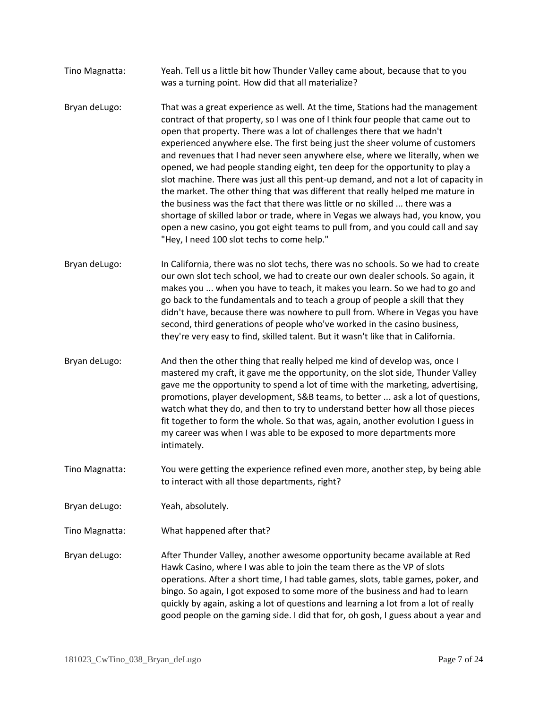- Tino Magnatta: Yeah. Tell us a little bit how Thunder Valley came about, because that to you was a turning point. How did that all materialize?
- Bryan deLugo: That was a great experience as well. At the time, Stations had the management contract of that property, so I was one of I think four people that came out to open that property. There was a lot of challenges there that we hadn't experienced anywhere else. The first being just the sheer volume of customers and revenues that I had never seen anywhere else, where we literally, when we opened, we had people standing eight, ten deep for the opportunity to play a slot machine. There was just all this pent-up demand, and not a lot of capacity in the market. The other thing that was different that really helped me mature in the business was the fact that there was little or no skilled ... there was a shortage of skilled labor or trade, where in Vegas we always had, you know, you open a new casino, you got eight teams to pull from, and you could call and say "Hey, I need 100 slot techs to come help."
- Bryan deLugo: In California, there was no slot techs, there was no schools. So we had to create our own slot tech school, we had to create our own dealer schools. So again, it makes you ... when you have to teach, it makes you learn. So we had to go and go back to the fundamentals and to teach a group of people a skill that they didn't have, because there was nowhere to pull from. Where in Vegas you have second, third generations of people who've worked in the casino business, they're very easy to find, skilled talent. But it wasn't like that in California.
- Bryan deLugo: And then the other thing that really helped me kind of develop was, once I mastered my craft, it gave me the opportunity, on the slot side, Thunder Valley gave me the opportunity to spend a lot of time with the marketing, advertising, promotions, player development, S&B teams, to better ... ask a lot of questions, watch what they do, and then to try to understand better how all those pieces fit together to form the whole. So that was, again, another evolution I guess in my career was when I was able to be exposed to more departments more intimately.
- Tino Magnatta: You were getting the experience refined even more, another step, by being able to interact with all those departments, right?
- Bryan deLugo: Yeah, absolutely.
- Tino Magnatta: What happened after that?
- Bryan deLugo: After Thunder Valley, another awesome opportunity became available at Red Hawk Casino, where I was able to join the team there as the VP of slots operations. After a short time, I had table games, slots, table games, poker, and bingo. So again, I got exposed to some more of the business and had to learn quickly by again, asking a lot of questions and learning a lot from a lot of really good people on the gaming side. I did that for, oh gosh, I guess about a year and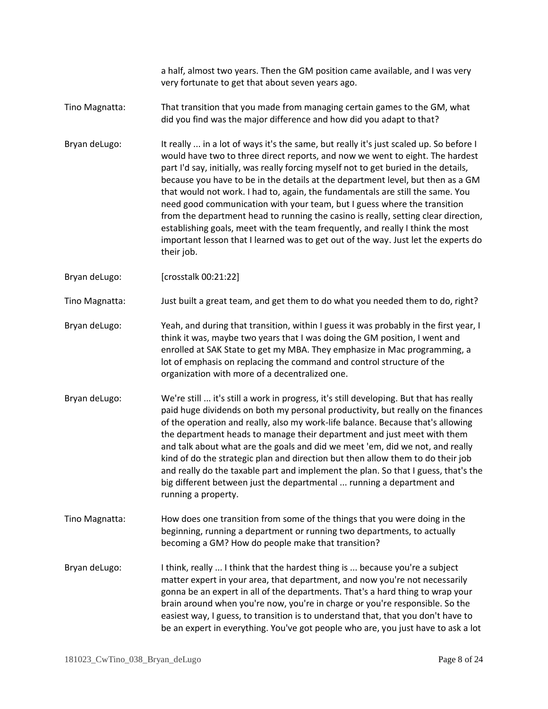a half, almost two years. Then the GM position came available, and I was very very fortunate to get that about seven years ago.

- Tino Magnatta: That transition that you made from managing certain games to the GM, what did you find was the major difference and how did you adapt to that?
- Bryan deLugo: It really ... in a lot of ways it's the same, but really it's just scaled up. So before I would have two to three direct reports, and now we went to eight. The hardest part I'd say, initially, was really forcing myself not to get buried in the details, because you have to be in the details at the department level, but then as a GM that would not work. I had to, again, the fundamentals are still the same. You need good communication with your team, but I guess where the transition from the department head to running the casino is really, setting clear direction, establishing goals, meet with the team frequently, and really I think the most important lesson that I learned was to get out of the way. Just let the experts do their job.

Bryan deLugo: [crosstalk 00:21:22]

Tino Magnatta: Just built a great team, and get them to do what you needed them to do, right?

- Bryan deLugo: Yeah, and during that transition, within I guess it was probably in the first year, I think it was, maybe two years that I was doing the GM position, I went and enrolled at SAK State to get my MBA. They emphasize in Mac programming, a lot of emphasis on replacing the command and control structure of the organization with more of a decentralized one.
- Bryan deLugo: We're still ... it's still a work in progress, it's still developing. But that has really paid huge dividends on both my personal productivity, but really on the finances of the operation and really, also my work-life balance. Because that's allowing the department heads to manage their department and just meet with them and talk about what are the goals and did we meet 'em, did we not, and really kind of do the strategic plan and direction but then allow them to do their job and really do the taxable part and implement the plan. So that I guess, that's the big different between just the departmental ... running a department and running a property.
- Tino Magnatta: How does one transition from some of the things that you were doing in the beginning, running a department or running two departments, to actually becoming a GM? How do people make that transition?
- Bryan deLugo: I think, really ... I think that the hardest thing is ... because you're a subject matter expert in your area, that department, and now you're not necessarily gonna be an expert in all of the departments. That's a hard thing to wrap your brain around when you're now, you're in charge or you're responsible. So the easiest way, I guess, to transition is to understand that, that you don't have to be an expert in everything. You've got people who are, you just have to ask a lot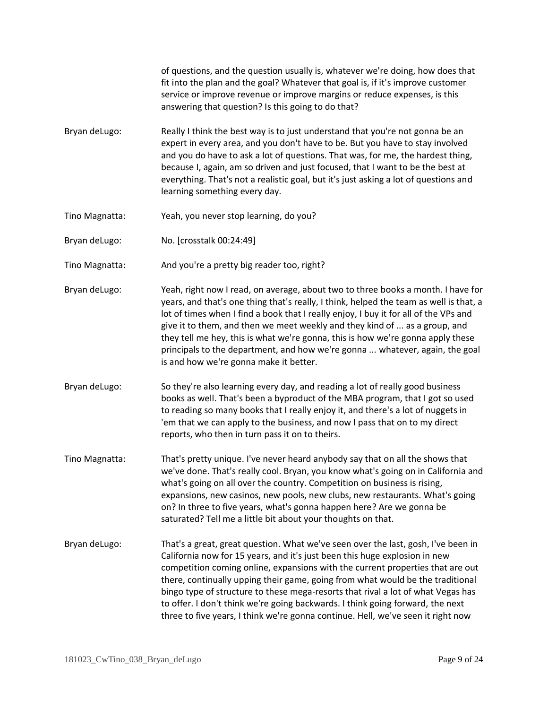of questions, and the question usually is, whatever we're doing, how does that fit into the plan and the goal? Whatever that goal is, if it's improve customer service or improve revenue or improve margins or reduce expenses, is this answering that question? Is this going to do that?

- Bryan deLugo: Really I think the best way is to just understand that you're not gonna be an expert in every area, and you don't have to be. But you have to stay involved and you do have to ask a lot of questions. That was, for me, the hardest thing, because I, again, am so driven and just focused, that I want to be the best at everything. That's not a realistic goal, but it's just asking a lot of questions and learning something every day.
- Tino Magnatta: Yeah, you never stop learning, do you?
- Bryan deLugo: No. [crosstalk 00:24:49]
- Tino Magnatta: And you're a pretty big reader too, right?
- Bryan deLugo: Yeah, right now I read, on average, about two to three books a month. I have for years, and that's one thing that's really, I think, helped the team as well is that, a lot of times when I find a book that I really enjoy, I buy it for all of the VPs and give it to them, and then we meet weekly and they kind of ... as a group, and they tell me hey, this is what we're gonna, this is how we're gonna apply these principals to the department, and how we're gonna ... whatever, again, the goal is and how we're gonna make it better.
- Bryan deLugo: So they're also learning every day, and reading a lot of really good business books as well. That's been a byproduct of the MBA program, that I got so used to reading so many books that I really enjoy it, and there's a lot of nuggets in 'em that we can apply to the business, and now I pass that on to my direct reports, who then in turn pass it on to theirs.
- Tino Magnatta: That's pretty unique. I've never heard anybody say that on all the shows that we've done. That's really cool. Bryan, you know what's going on in California and what's going on all over the country. Competition on business is rising, expansions, new casinos, new pools, new clubs, new restaurants. What's going on? In three to five years, what's gonna happen here? Are we gonna be saturated? Tell me a little bit about your thoughts on that.
- Bryan deLugo: That's a great, great question. What we've seen over the last, gosh, I've been in California now for 15 years, and it's just been this huge explosion in new competition coming online, expansions with the current properties that are out there, continually upping their game, going from what would be the traditional bingo type of structure to these mega-resorts that rival a lot of what Vegas has to offer. I don't think we're going backwards. I think going forward, the next three to five years, I think we're gonna continue. Hell, we've seen it right now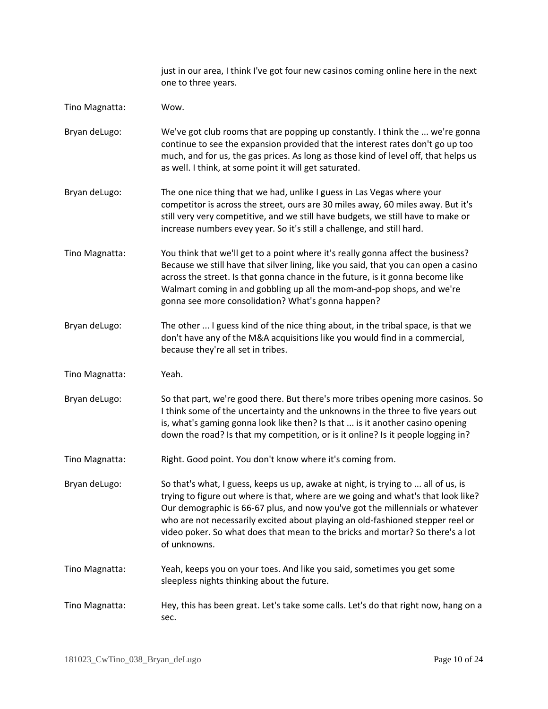just in our area, I think I've got four new casinos coming online here in the next one to three years. Tino Magnatta: Wow. Bryan deLugo: We've got club rooms that are popping up constantly. I think the ... we're gonna continue to see the expansion provided that the interest rates don't go up too much, and for us, the gas prices. As long as those kind of level off, that helps us as well. I think, at some point it will get saturated. Bryan deLugo: The one nice thing that we had, unlike I guess in Las Vegas where your competitor is across the street, ours are 30 miles away, 60 miles away. But it's still very very competitive, and we still have budgets, we still have to make or increase numbers evey year. So it's still a challenge, and still hard. Tino Magnatta: You think that we'll get to a point where it's really gonna affect the business? Because we still have that silver lining, like you said, that you can open a casino across the street. Is that gonna chance in the future, is it gonna become like Walmart coming in and gobbling up all the mom-and-pop shops, and we're gonna see more consolidation? What's gonna happen? Bryan deLugo: The other ... I guess kind of the nice thing about, in the tribal space, is that we don't have any of the M&A acquisitions like you would find in a commercial, because they're all set in tribes. Tino Magnatta: Yeah. Bryan deLugo: So that part, we're good there. But there's more tribes opening more casinos. So I think some of the uncertainty and the unknowns in the three to five years out is, what's gaming gonna look like then? Is that ... is it another casino opening down the road? Is that my competition, or is it online? Is it people logging in? Tino Magnatta: Right. Good point. You don't know where it's coming from. Bryan deLugo: So that's what, I guess, keeps us up, awake at night, is trying to ... all of us, is trying to figure out where is that, where are we going and what's that look like? Our demographic is 66-67 plus, and now you've got the millennials or whatever who are not necessarily excited about playing an old-fashioned stepper reel or video poker. So what does that mean to the bricks and mortar? So there's a lot of unknowns. Tino Magnatta: Yeah, keeps you on your toes. And like you said, sometimes you get some sleepless nights thinking about the future. Tino Magnatta: Hey, this has been great. Let's take some calls. Let's do that right now, hang on a sec.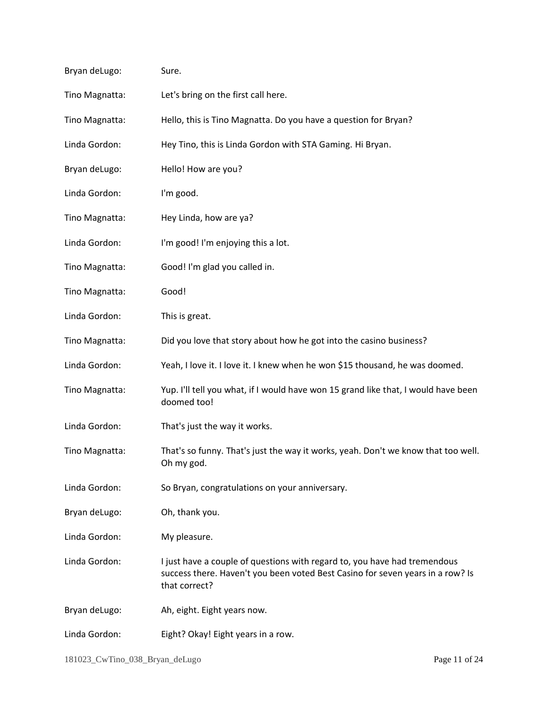| Bryan deLugo:  | Sure.                                                                                                                                                                        |
|----------------|------------------------------------------------------------------------------------------------------------------------------------------------------------------------------|
| Tino Magnatta: | Let's bring on the first call here.                                                                                                                                          |
| Tino Magnatta: | Hello, this is Tino Magnatta. Do you have a question for Bryan?                                                                                                              |
| Linda Gordon:  | Hey Tino, this is Linda Gordon with STA Gaming. Hi Bryan.                                                                                                                    |
| Bryan deLugo:  | Hello! How are you?                                                                                                                                                          |
| Linda Gordon:  | I'm good.                                                                                                                                                                    |
| Tino Magnatta: | Hey Linda, how are ya?                                                                                                                                                       |
| Linda Gordon:  | I'm good! I'm enjoying this a lot.                                                                                                                                           |
| Tino Magnatta: | Good! I'm glad you called in.                                                                                                                                                |
| Tino Magnatta: | Good!                                                                                                                                                                        |
| Linda Gordon:  | This is great.                                                                                                                                                               |
| Tino Magnatta: | Did you love that story about how he got into the casino business?                                                                                                           |
| Linda Gordon:  | Yeah, I love it. I love it. I knew when he won \$15 thousand, he was doomed.                                                                                                 |
| Tino Magnatta: | Yup. I'll tell you what, if I would have won 15 grand like that, I would have been<br>doomed too!                                                                            |
| Linda Gordon:  | That's just the way it works.                                                                                                                                                |
| Tino Magnatta: | That's so funny. That's just the way it works, yeah. Don't we know that too well.<br>Oh my god.                                                                              |
| Linda Gordon:  | So Bryan, congratulations on your anniversary.                                                                                                                               |
| Bryan deLugo:  | Oh, thank you.                                                                                                                                                               |
| Linda Gordon:  | My pleasure.                                                                                                                                                                 |
| Linda Gordon:  | I just have a couple of questions with regard to, you have had tremendous<br>success there. Haven't you been voted Best Casino for seven years in a row? Is<br>that correct? |
| Bryan deLugo:  | Ah, eight. Eight years now.                                                                                                                                                  |
| Linda Gordon:  | Eight? Okay! Eight years in a row.                                                                                                                                           |
|                |                                                                                                                                                                              |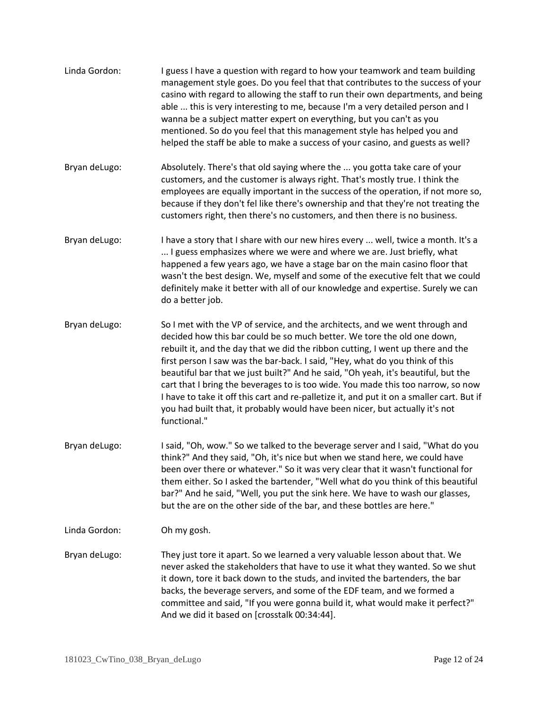| Linda Gordon: | I guess I have a question with regard to how your teamwork and team building<br>management style goes. Do you feel that that contributes to the success of your<br>casino with regard to allowing the staff to run their own departments, and being<br>able  this is very interesting to me, because I'm a very detailed person and I<br>wanna be a subject matter expert on everything, but you can't as you<br>mentioned. So do you feel that this management style has helped you and<br>helped the staff be able to make a success of your casino, and guests as well?                                                                                                                       |
|---------------|--------------------------------------------------------------------------------------------------------------------------------------------------------------------------------------------------------------------------------------------------------------------------------------------------------------------------------------------------------------------------------------------------------------------------------------------------------------------------------------------------------------------------------------------------------------------------------------------------------------------------------------------------------------------------------------------------|
| Bryan deLugo: | Absolutely. There's that old saying where the  you gotta take care of your<br>customers, and the customer is always right. That's mostly true. I think the<br>employees are equally important in the success of the operation, if not more so,<br>because if they don't fel like there's ownership and that they're not treating the<br>customers right, then there's no customers, and then there is no business.                                                                                                                                                                                                                                                                               |
| Bryan deLugo: | I have a story that I share with our new hires every  well, twice a month. It's a<br>I guess emphasizes where we were and where we are. Just briefly, what<br>happened a few years ago, we have a stage bar on the main casino floor that<br>wasn't the best design. We, myself and some of the executive felt that we could<br>definitely make it better with all of our knowledge and expertise. Surely we can<br>do a better job.                                                                                                                                                                                                                                                             |
| Bryan deLugo: | So I met with the VP of service, and the architects, and we went through and<br>decided how this bar could be so much better. We tore the old one down,<br>rebuilt it, and the day that we did the ribbon cutting, I went up there and the<br>first person I saw was the bar-back. I said, "Hey, what do you think of this<br>beautiful bar that we just built?" And he said, "Oh yeah, it's beautiful, but the<br>cart that I bring the beverages to is too wide. You made this too narrow, so now<br>I have to take it off this cart and re-palletize it, and put it on a smaller cart. But if<br>you had built that, it probably would have been nicer, but actually it's not<br>functional." |
| Bryan deLugo: | I said, "Oh, wow." So we talked to the beverage server and I said, "What do you<br>think?" And they said, "Oh, it's nice but when we stand here, we could have<br>been over there or whatever." So it was very clear that it wasn't functional for<br>them either. So I asked the bartender, "Well what do you think of this beautiful<br>bar?" And he said, "Well, you put the sink here. We have to wash our glasses,<br>but the are on the other side of the bar, and these bottles are here."                                                                                                                                                                                                |
| Linda Gordon: | Oh my gosh.                                                                                                                                                                                                                                                                                                                                                                                                                                                                                                                                                                                                                                                                                      |
| Bryan deLugo: | They just tore it apart. So we learned a very valuable lesson about that. We<br>never asked the stakeholders that have to use it what they wanted. So we shut<br>it down, tore it back down to the studs, and invited the bartenders, the bar<br>backs, the beverage servers, and some of the EDF team, and we formed a<br>committee and said, "If you were gonna build it, what would make it perfect?"<br>And we did it based on [crosstalk 00:34:44].                                                                                                                                                                                                                                         |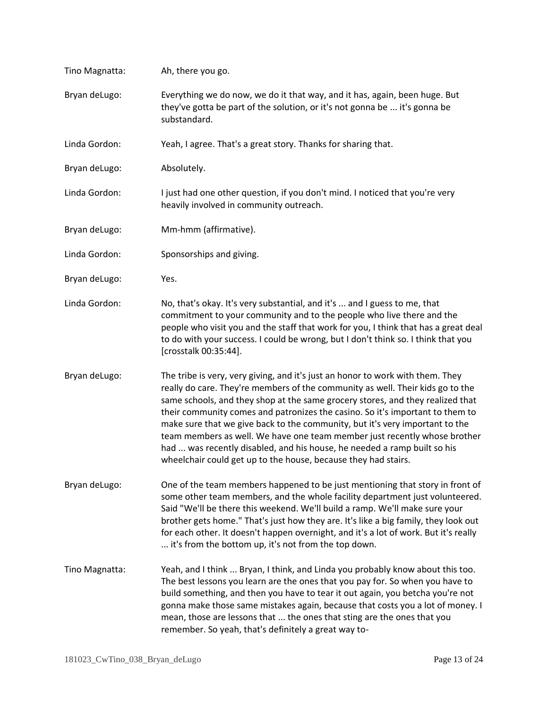| Tino Magnatta: | Ah, there you go.                                                                                                                                                                                                                                                                                                                                                                                                                                                                                                                                                                                                                              |
|----------------|------------------------------------------------------------------------------------------------------------------------------------------------------------------------------------------------------------------------------------------------------------------------------------------------------------------------------------------------------------------------------------------------------------------------------------------------------------------------------------------------------------------------------------------------------------------------------------------------------------------------------------------------|
| Bryan deLugo:  | Everything we do now, we do it that way, and it has, again, been huge. But<br>they've gotta be part of the solution, or it's not gonna be  it's gonna be<br>substandard.                                                                                                                                                                                                                                                                                                                                                                                                                                                                       |
| Linda Gordon:  | Yeah, I agree. That's a great story. Thanks for sharing that.                                                                                                                                                                                                                                                                                                                                                                                                                                                                                                                                                                                  |
| Bryan deLugo:  | Absolutely.                                                                                                                                                                                                                                                                                                                                                                                                                                                                                                                                                                                                                                    |
| Linda Gordon:  | I just had one other question, if you don't mind. I noticed that you're very<br>heavily involved in community outreach.                                                                                                                                                                                                                                                                                                                                                                                                                                                                                                                        |
| Bryan deLugo:  | Mm-hmm (affirmative).                                                                                                                                                                                                                                                                                                                                                                                                                                                                                                                                                                                                                          |
| Linda Gordon:  | Sponsorships and giving.                                                                                                                                                                                                                                                                                                                                                                                                                                                                                                                                                                                                                       |
| Bryan deLugo:  | Yes.                                                                                                                                                                                                                                                                                                                                                                                                                                                                                                                                                                                                                                           |
| Linda Gordon:  | No, that's okay. It's very substantial, and it's  and I guess to me, that<br>commitment to your community and to the people who live there and the<br>people who visit you and the staff that work for you, I think that has a great deal<br>to do with your success. I could be wrong, but I don't think so. I think that you<br>[crosstalk 00:35:44].                                                                                                                                                                                                                                                                                        |
| Bryan deLugo:  | The tribe is very, very giving, and it's just an honor to work with them. They<br>really do care. They're members of the community as well. Their kids go to the<br>same schools, and they shop at the same grocery stores, and they realized that<br>their community comes and patronizes the casino. So it's important to them to<br>make sure that we give back to the community, but it's very important to the<br>team members as well. We have one team member just recently whose brother<br>had  was recently disabled, and his house, he needed a ramp built so his<br>wheelchair could get up to the house, because they had stairs. |
| Bryan deLugo:  | One of the team members happened to be just mentioning that story in front of<br>some other team members, and the whole facility department just volunteered.<br>Said "We'll be there this weekend. We'll build a ramp. We'll make sure your<br>brother gets home." That's just how they are. It's like a big family, they look out<br>for each other. It doesn't happen overnight, and it's a lot of work. But it's really<br>it's from the bottom up, it's not from the top down.                                                                                                                                                            |
| Tino Magnatta: | Yeah, and I think  Bryan, I think, and Linda you probably know about this too.<br>The best lessons you learn are the ones that you pay for. So when you have to<br>build something, and then you have to tear it out again, you betcha you're not<br>gonna make those same mistakes again, because that costs you a lot of money. I<br>mean, those are lessons that  the ones that sting are the ones that you<br>remember. So yeah, that's definitely a great way to-                                                                                                                                                                         |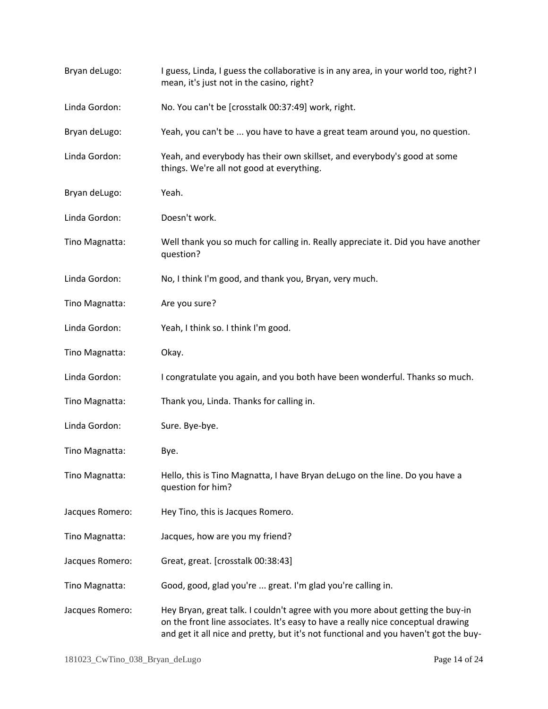| Bryan deLugo:   | I guess, Linda, I guess the collaborative is in any area, in your world too, right? I<br>mean, it's just not in the casino, right?                                                                                                                         |
|-----------------|------------------------------------------------------------------------------------------------------------------------------------------------------------------------------------------------------------------------------------------------------------|
| Linda Gordon:   | No. You can't be [crosstalk 00:37:49] work, right.                                                                                                                                                                                                         |
| Bryan deLugo:   | Yeah, you can't be  you have to have a great team around you, no question.                                                                                                                                                                                 |
| Linda Gordon:   | Yeah, and everybody has their own skillset, and everybody's good at some<br>things. We're all not good at everything.                                                                                                                                      |
| Bryan deLugo:   | Yeah.                                                                                                                                                                                                                                                      |
| Linda Gordon:   | Doesn't work.                                                                                                                                                                                                                                              |
| Tino Magnatta:  | Well thank you so much for calling in. Really appreciate it. Did you have another<br>question?                                                                                                                                                             |
| Linda Gordon:   | No, I think I'm good, and thank you, Bryan, very much.                                                                                                                                                                                                     |
| Tino Magnatta:  | Are you sure?                                                                                                                                                                                                                                              |
| Linda Gordon:   | Yeah, I think so. I think I'm good.                                                                                                                                                                                                                        |
| Tino Magnatta:  | Okay.                                                                                                                                                                                                                                                      |
| Linda Gordon:   | I congratulate you again, and you both have been wonderful. Thanks so much.                                                                                                                                                                                |
| Tino Magnatta:  | Thank you, Linda. Thanks for calling in.                                                                                                                                                                                                                   |
| Linda Gordon:   | Sure. Bye-bye.                                                                                                                                                                                                                                             |
| Tino Magnatta:  | Bye.                                                                                                                                                                                                                                                       |
| Tino Magnatta:  | Hello, this is Tino Magnatta, I have Bryan deLugo on the line. Do you have a<br>question for him?                                                                                                                                                          |
| Jacques Romero: | Hey Tino, this is Jacques Romero.                                                                                                                                                                                                                          |
| Tino Magnatta:  | Jacques, how are you my friend?                                                                                                                                                                                                                            |
| Jacques Romero: | Great, great. [crosstalk 00:38:43]                                                                                                                                                                                                                         |
| Tino Magnatta:  | Good, good, glad you're  great. I'm glad you're calling in.                                                                                                                                                                                                |
| Jacques Romero: | Hey Bryan, great talk. I couldn't agree with you more about getting the buy-in<br>on the front line associates. It's easy to have a really nice conceptual drawing<br>and get it all nice and pretty, but it's not functional and you haven't got the buy- |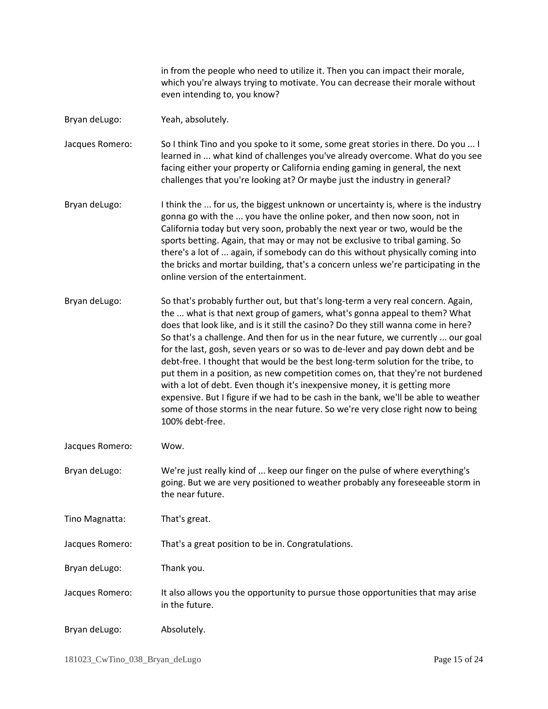in from the people who need to utilize it. Then you can impact their morale, which you're always trying to motivate. You can decrease their morale without even intending to, you know?

Bryan deLugo: Yeah, absolutely.

Jacques Romero: So I think Tino and you spoke to it some, some great stories in there. Do you ... I learned in ... what kind of challenges you've already overcome. What do you see facing either your property or California ending gaming in general, the next challenges that you're looking at? Or maybe just the industry in general?

- Bryan deLugo: I think the ... for us, the biggest unknown or uncertainty is, where is the industry gonna go with the ... you have the online poker, and then now soon, not in California today but very soon, probably the next year or two, would be the sports betting. Again, that may or may not be exclusive to tribal gaming. So there's a lot of ... again, if somebody can do this without physically coming into the bricks and mortar building, that's a concern unless we're participating in the online version of the entertainment.
- Bryan deLugo: So that's probably further out, but that's long-term a very real concern. Again, the ... what is that next group of gamers, what's gonna appeal to them? What does that look like, and is it still the casino? Do they still wanna come in here? So that's a challenge. And then for us in the near future, we currently ... our goal for the last, gosh, seven years or so was to de-lever and pay down debt and be debt-free. I thought that would be the best long-term solution for the tribe, to put them in a position, as new competition comes on, that they're not burdened with a lot of debt. Even though it's inexpensive money, it is getting more expensive. But I figure if we had to be cash in the bank, we'll be able to weather some of those storms in the near future. So we're very close right now to being 100% debt-free.
- Jacques Romero: Wow.
- Bryan deLugo: We're just really kind of ... keep our finger on the pulse of where everything's going. But we are very positioned to weather probably any foreseeable storm in the near future.
- Tino Magnatta: That's great.

Jacques Romero: That's a great position to be in. Congratulations.

Bryan deLugo: Thank you.

- Jacques Romero: It also allows you the opportunity to pursue those opportunities that may arise in the future.
- Bryan deLugo: Absolutely.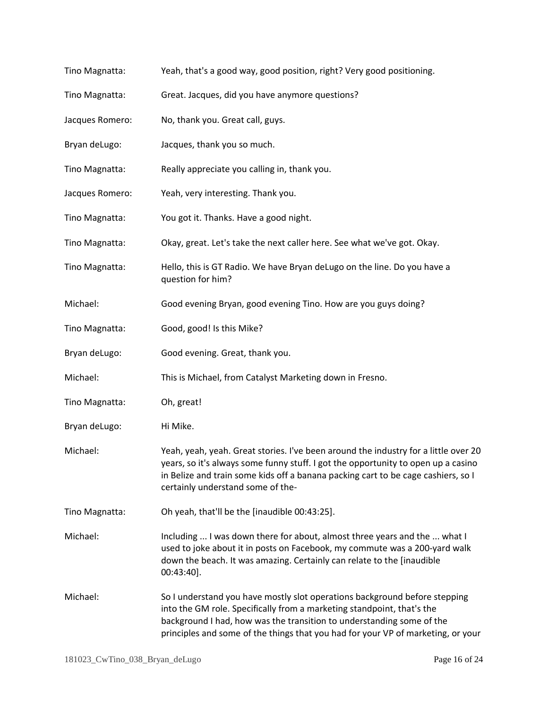| Tino Magnatta:  | Yeah, that's a good way, good position, right? Very good positioning.                                                                                                                                                                                                                                             |
|-----------------|-------------------------------------------------------------------------------------------------------------------------------------------------------------------------------------------------------------------------------------------------------------------------------------------------------------------|
| Tino Magnatta:  | Great. Jacques, did you have anymore questions?                                                                                                                                                                                                                                                                   |
| Jacques Romero: | No, thank you. Great call, guys.                                                                                                                                                                                                                                                                                  |
| Bryan deLugo:   | Jacques, thank you so much.                                                                                                                                                                                                                                                                                       |
| Tino Magnatta:  | Really appreciate you calling in, thank you.                                                                                                                                                                                                                                                                      |
| Jacques Romero: | Yeah, very interesting. Thank you.                                                                                                                                                                                                                                                                                |
| Tino Magnatta:  | You got it. Thanks. Have a good night.                                                                                                                                                                                                                                                                            |
| Tino Magnatta:  | Okay, great. Let's take the next caller here. See what we've got. Okay.                                                                                                                                                                                                                                           |
| Tino Magnatta:  | Hello, this is GT Radio. We have Bryan deLugo on the line. Do you have a<br>question for him?                                                                                                                                                                                                                     |
| Michael:        | Good evening Bryan, good evening Tino. How are you guys doing?                                                                                                                                                                                                                                                    |
| Tino Magnatta:  | Good, good! Is this Mike?                                                                                                                                                                                                                                                                                         |
| Bryan deLugo:   | Good evening. Great, thank you.                                                                                                                                                                                                                                                                                   |
| Michael:        | This is Michael, from Catalyst Marketing down in Fresno.                                                                                                                                                                                                                                                          |
| Tino Magnatta:  | Oh, great!                                                                                                                                                                                                                                                                                                        |
| Bryan deLugo:   | Hi Mike.                                                                                                                                                                                                                                                                                                          |
| Michael:        | Yeah, yeah, yeah. Great stories. I've been around the industry for a little over 20<br>years, so it's always some funny stuff. I got the opportunity to open up a casino<br>in Belize and train some kids off a banana packing cart to be cage cashiers, so I<br>certainly understand some of the-                |
| Tino Magnatta:  | Oh yeah, that'll be the [inaudible 00:43:25].                                                                                                                                                                                                                                                                     |
| Michael:        | Including  I was down there for about, almost three years and the  what I<br>used to joke about it in posts on Facebook, my commute was a 200-yard walk<br>down the beach. It was amazing. Certainly can relate to the [inaudible<br>$00:43:40$ ].                                                                |
| Michael:        | So I understand you have mostly slot operations background before stepping<br>into the GM role. Specifically from a marketing standpoint, that's the<br>background I had, how was the transition to understanding some of the<br>principles and some of the things that you had for your VP of marketing, or your |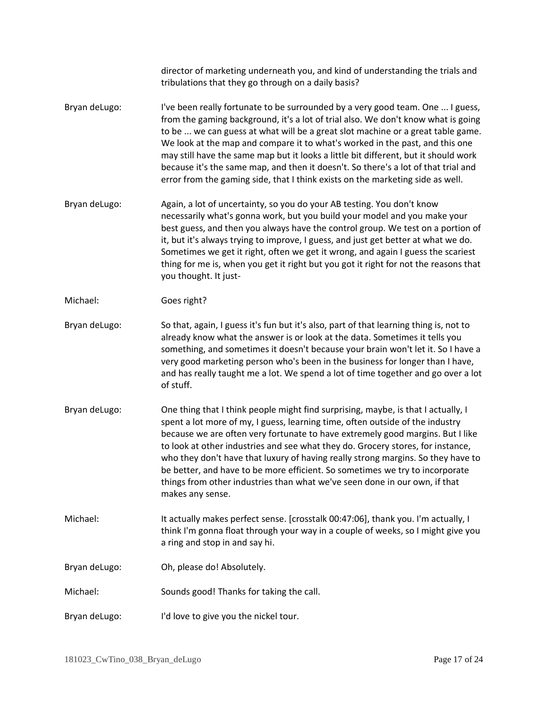|               | director of marketing underneath you, and kind of understanding the trials and<br>tribulations that they go through on a daily basis?                                                                                                                                                                                                                                                                                                                                                                                                                                                                         |
|---------------|---------------------------------------------------------------------------------------------------------------------------------------------------------------------------------------------------------------------------------------------------------------------------------------------------------------------------------------------------------------------------------------------------------------------------------------------------------------------------------------------------------------------------------------------------------------------------------------------------------------|
| Bryan deLugo: | I've been really fortunate to be surrounded by a very good team. One  I guess,<br>from the gaming background, it's a lot of trial also. We don't know what is going<br>to be  we can guess at what will be a great slot machine or a great table game.<br>We look at the map and compare it to what's worked in the past, and this one<br>may still have the same map but it looks a little bit different, but it should work<br>because it's the same map, and then it doesn't. So there's a lot of that trial and<br>error from the gaming side, that I think exists on the marketing side as well.         |
| Bryan deLugo: | Again, a lot of uncertainty, so you do your AB testing. You don't know<br>necessarily what's gonna work, but you build your model and you make your<br>best guess, and then you always have the control group. We test on a portion of<br>it, but it's always trying to improve, I guess, and just get better at what we do.<br>Sometimes we get it right, often we get it wrong, and again I guess the scariest<br>thing for me is, when you get it right but you got it right for not the reasons that<br>you thought. It just-                                                                             |
| Michael:      | Goes right?                                                                                                                                                                                                                                                                                                                                                                                                                                                                                                                                                                                                   |
| Bryan deLugo: | So that, again, I guess it's fun but it's also, part of that learning thing is, not to<br>already know what the answer is or look at the data. Sometimes it tells you<br>something, and sometimes it doesn't because your brain won't let it. So I have a<br>very good marketing person who's been in the business for longer than I have,<br>and has really taught me a lot. We spend a lot of time together and go over a lot<br>of stuff.                                                                                                                                                                  |
| Bryan deLugo: | One thing that I think people might find surprising, maybe, is that I actually, I<br>spent a lot more of my, I guess, learning time, often outside of the industry<br>because we are often very fortunate to have extremely good margins. But I like<br>to look at other industries and see what they do. Grocery stores, for instance,<br>who they don't have that luxury of having really strong margins. So they have to<br>be better, and have to be more efficient. So sometimes we try to incorporate<br>things from other industries than what we've seen done in our own, if that<br>makes any sense. |
| Michael:      | It actually makes perfect sense. [crosstalk 00:47:06], thank you. I'm actually, I<br>think I'm gonna float through your way in a couple of weeks, so I might give you<br>a ring and stop in and say hi.                                                                                                                                                                                                                                                                                                                                                                                                       |
| Bryan deLugo: | Oh, please do! Absolutely.                                                                                                                                                                                                                                                                                                                                                                                                                                                                                                                                                                                    |
| Michael:      | Sounds good! Thanks for taking the call.                                                                                                                                                                                                                                                                                                                                                                                                                                                                                                                                                                      |
| Bryan deLugo: | I'd love to give you the nickel tour.                                                                                                                                                                                                                                                                                                                                                                                                                                                                                                                                                                         |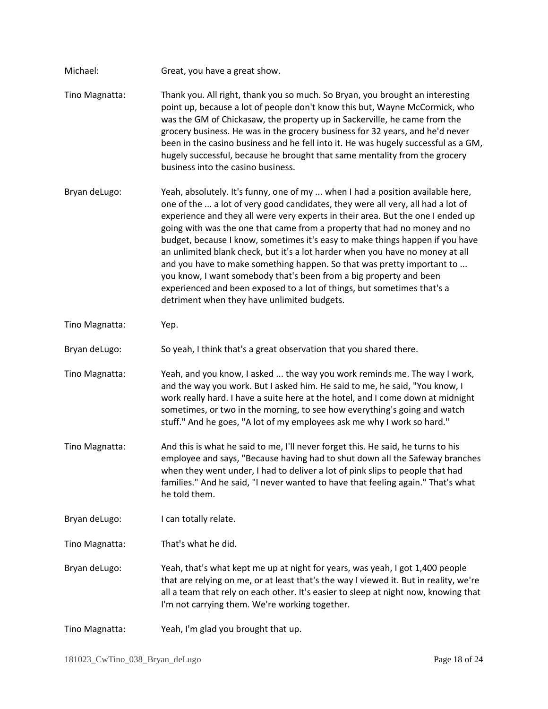| Michael:       | Great, you have a great show.                                                                                                                                                                                                                                                                                                                                                                                                                                                                                                                                                                                                                                                                                                                                                 |
|----------------|-------------------------------------------------------------------------------------------------------------------------------------------------------------------------------------------------------------------------------------------------------------------------------------------------------------------------------------------------------------------------------------------------------------------------------------------------------------------------------------------------------------------------------------------------------------------------------------------------------------------------------------------------------------------------------------------------------------------------------------------------------------------------------|
| Tino Magnatta: | Thank you. All right, thank you so much. So Bryan, you brought an interesting<br>point up, because a lot of people don't know this but, Wayne McCormick, who<br>was the GM of Chickasaw, the property up in Sackerville, he came from the<br>grocery business. He was in the grocery business for 32 years, and he'd never<br>been in the casino business and he fell into it. He was hugely successful as a GM,<br>hugely successful, because he brought that same mentality from the grocery<br>business into the casino business.                                                                                                                                                                                                                                          |
| Bryan deLugo:  | Yeah, absolutely. It's funny, one of my  when I had a position available here,<br>one of the  a lot of very good candidates, they were all very, all had a lot of<br>experience and they all were very experts in their area. But the one I ended up<br>going with was the one that came from a property that had no money and no<br>budget, because I know, sometimes it's easy to make things happen if you have<br>an unlimited blank check, but it's a lot harder when you have no money at all<br>and you have to make something happen. So that was pretty important to<br>you know, I want somebody that's been from a big property and been<br>experienced and been exposed to a lot of things, but sometimes that's a<br>detriment when they have unlimited budgets. |
| Tino Magnatta: | Yep.                                                                                                                                                                                                                                                                                                                                                                                                                                                                                                                                                                                                                                                                                                                                                                          |
| Bryan deLugo:  | So yeah, I think that's a great observation that you shared there.                                                                                                                                                                                                                                                                                                                                                                                                                                                                                                                                                                                                                                                                                                            |
| Tino Magnatta: | Yeah, and you know, I asked  the way you work reminds me. The way I work,<br>and the way you work. But I asked him. He said to me, he said, "You know, I<br>work really hard. I have a suite here at the hotel, and I come down at midnight<br>sometimes, or two in the morning, to see how everything's going and watch<br>stuff." And he goes, "A lot of my employees ask me why I work so hard."                                                                                                                                                                                                                                                                                                                                                                           |
| Tino Magnatta: | And this is what he said to me, I'll never forget this. He said, he turns to his<br>employee and says, "Because having had to shut down all the Safeway branches<br>when they went under, I had to deliver a lot of pink slips to people that had<br>families." And he said, "I never wanted to have that feeling again." That's what<br>he told them.                                                                                                                                                                                                                                                                                                                                                                                                                        |
| Bryan deLugo:  | I can totally relate.                                                                                                                                                                                                                                                                                                                                                                                                                                                                                                                                                                                                                                                                                                                                                         |
| Tino Magnatta: | That's what he did.                                                                                                                                                                                                                                                                                                                                                                                                                                                                                                                                                                                                                                                                                                                                                           |
| Bryan deLugo:  | Yeah, that's what kept me up at night for years, was yeah, I got 1,400 people<br>that are relying on me, or at least that's the way I viewed it. But in reality, we're<br>all a team that rely on each other. It's easier to sleep at night now, knowing that<br>I'm not carrying them. We're working together.                                                                                                                                                                                                                                                                                                                                                                                                                                                               |
| Tino Magnatta: | Yeah, I'm glad you brought that up.                                                                                                                                                                                                                                                                                                                                                                                                                                                                                                                                                                                                                                                                                                                                           |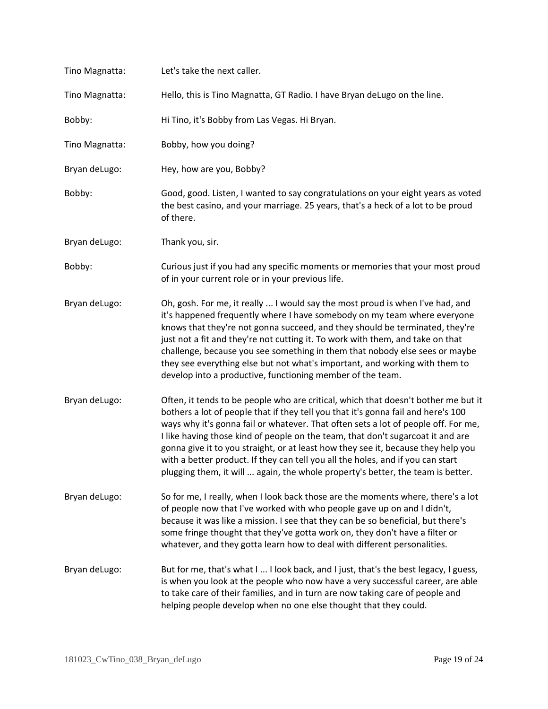| Tino Magnatta: | Let's take the next caller.                                                                                                                                                                                                                                                                                                                                                                                                                                                                                                                                                                                 |
|----------------|-------------------------------------------------------------------------------------------------------------------------------------------------------------------------------------------------------------------------------------------------------------------------------------------------------------------------------------------------------------------------------------------------------------------------------------------------------------------------------------------------------------------------------------------------------------------------------------------------------------|
| Tino Magnatta: | Hello, this is Tino Magnatta, GT Radio. I have Bryan deLugo on the line.                                                                                                                                                                                                                                                                                                                                                                                                                                                                                                                                    |
| Bobby:         | Hi Tino, it's Bobby from Las Vegas. Hi Bryan.                                                                                                                                                                                                                                                                                                                                                                                                                                                                                                                                                               |
| Tino Magnatta: | Bobby, how you doing?                                                                                                                                                                                                                                                                                                                                                                                                                                                                                                                                                                                       |
| Bryan deLugo:  | Hey, how are you, Bobby?                                                                                                                                                                                                                                                                                                                                                                                                                                                                                                                                                                                    |
| Bobby:         | Good, good. Listen, I wanted to say congratulations on your eight years as voted<br>the best casino, and your marriage. 25 years, that's a heck of a lot to be proud<br>of there.                                                                                                                                                                                                                                                                                                                                                                                                                           |
| Bryan deLugo:  | Thank you, sir.                                                                                                                                                                                                                                                                                                                                                                                                                                                                                                                                                                                             |
| Bobby:         | Curious just if you had any specific moments or memories that your most proud<br>of in your current role or in your previous life.                                                                                                                                                                                                                                                                                                                                                                                                                                                                          |
| Bryan deLugo:  | Oh, gosh. For me, it really  I would say the most proud is when I've had, and<br>it's happened frequently where I have somebody on my team where everyone<br>knows that they're not gonna succeed, and they should be terminated, they're<br>just not a fit and they're not cutting it. To work with them, and take on that<br>challenge, because you see something in them that nobody else sees or maybe<br>they see everything else but not what's important, and working with them to<br>develop into a productive, functioning member of the team.                                                     |
| Bryan deLugo:  | Often, it tends to be people who are critical, which that doesn't bother me but it<br>bothers a lot of people that if they tell you that it's gonna fail and here's 100<br>ways why it's gonna fail or whatever. That often sets a lot of people off. For me,<br>I like having those kind of people on the team, that don't sugarcoat it and are<br>gonna give it to you straight, or at least how they see it, because they help you<br>with a better product. If they can tell you all the holes, and if you can start<br>plugging them, it will  again, the whole property's better, the team is better. |
| Bryan deLugo:  | So for me, I really, when I look back those are the moments where, there's a lot<br>of people now that I've worked with who people gave up on and I didn't,<br>because it was like a mission. I see that they can be so beneficial, but there's<br>some fringe thought that they've gotta work on, they don't have a filter or<br>whatever, and they gotta learn how to deal with different personalities.                                                                                                                                                                                                  |
| Bryan deLugo:  | But for me, that's what I  I look back, and I just, that's the best legacy, I guess,<br>is when you look at the people who now have a very successful career, are able<br>to take care of their families, and in turn are now taking care of people and<br>helping people develop when no one else thought that they could.                                                                                                                                                                                                                                                                                 |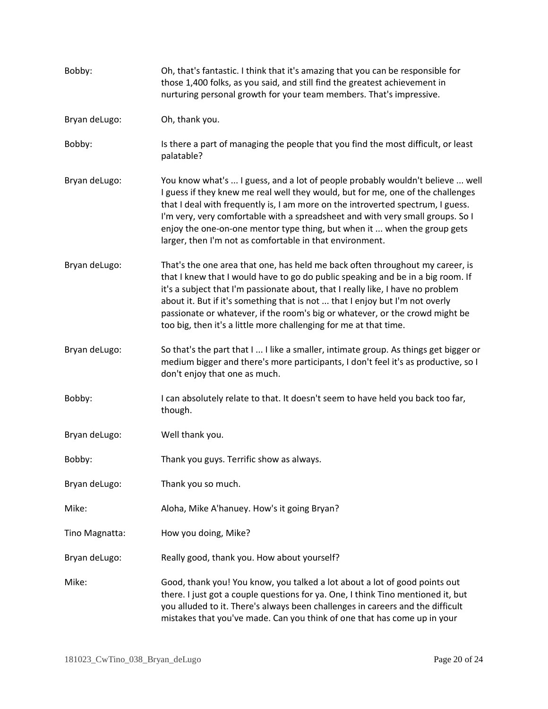| Bobby:         | Oh, that's fantastic. I think that it's amazing that you can be responsible for<br>those 1,400 folks, as you said, and still find the greatest achievement in<br>nurturing personal growth for your team members. That's impressive.                                                                                                                                                                                                                                                     |
|----------------|------------------------------------------------------------------------------------------------------------------------------------------------------------------------------------------------------------------------------------------------------------------------------------------------------------------------------------------------------------------------------------------------------------------------------------------------------------------------------------------|
| Bryan deLugo:  | Oh, thank you.                                                                                                                                                                                                                                                                                                                                                                                                                                                                           |
| Bobby:         | Is there a part of managing the people that you find the most difficult, or least<br>palatable?                                                                                                                                                                                                                                                                                                                                                                                          |
| Bryan deLugo:  | You know what's  I guess, and a lot of people probably wouldn't believe  well<br>I guess if they knew me real well they would, but for me, one of the challenges<br>that I deal with frequently is, I am more on the introverted spectrum, I guess.<br>I'm very, very comfortable with a spreadsheet and with very small groups. So I<br>enjoy the one-on-one mentor type thing, but when it  when the group gets<br>larger, then I'm not as comfortable in that environment.            |
| Bryan deLugo:  | That's the one area that one, has held me back often throughout my career, is<br>that I knew that I would have to go do public speaking and be in a big room. If<br>it's a subject that I'm passionate about, that I really like, I have no problem<br>about it. But if it's something that is not  that I enjoy but I'm not overly<br>passionate or whatever, if the room's big or whatever, or the crowd might be<br>too big, then it's a little more challenging for me at that time. |
| Bryan deLugo:  | So that's the part that I  I like a smaller, intimate group. As things get bigger or<br>medium bigger and there's more participants, I don't feel it's as productive, so I<br>don't enjoy that one as much.                                                                                                                                                                                                                                                                              |
| Bobby:         | I can absolutely relate to that. It doesn't seem to have held you back too far,<br>though.                                                                                                                                                                                                                                                                                                                                                                                               |
| Bryan deLugo:  | Well thank you.                                                                                                                                                                                                                                                                                                                                                                                                                                                                          |
| Bobby:         | Thank you guys. Terrific show as always.                                                                                                                                                                                                                                                                                                                                                                                                                                                 |
| Bryan deLugo:  | Thank you so much.                                                                                                                                                                                                                                                                                                                                                                                                                                                                       |
| Mike:          | Aloha, Mike A'hanuey. How's it going Bryan?                                                                                                                                                                                                                                                                                                                                                                                                                                              |
| Tino Magnatta: | How you doing, Mike?                                                                                                                                                                                                                                                                                                                                                                                                                                                                     |
| Bryan deLugo:  | Really good, thank you. How about yourself?                                                                                                                                                                                                                                                                                                                                                                                                                                              |
| Mike:          | Good, thank you! You know, you talked a lot about a lot of good points out<br>there. I just got a couple questions for ya. One, I think Tino mentioned it, but<br>you alluded to it. There's always been challenges in careers and the difficult<br>mistakes that you've made. Can you think of one that has come up in your                                                                                                                                                             |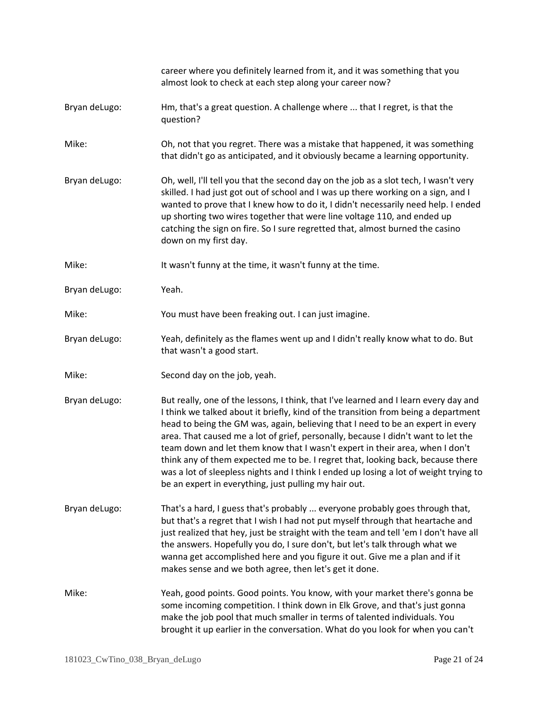|               | career where you definitely learned from it, and it was something that you<br>almost look to check at each step along your career now?                                                                                                                                                                                                                                                                                                                                                                                                                                                                                                                                  |
|---------------|-------------------------------------------------------------------------------------------------------------------------------------------------------------------------------------------------------------------------------------------------------------------------------------------------------------------------------------------------------------------------------------------------------------------------------------------------------------------------------------------------------------------------------------------------------------------------------------------------------------------------------------------------------------------------|
| Bryan deLugo: | Hm, that's a great question. A challenge where  that I regret, is that the<br>question?                                                                                                                                                                                                                                                                                                                                                                                                                                                                                                                                                                                 |
| Mike:         | Oh, not that you regret. There was a mistake that happened, it was something<br>that didn't go as anticipated, and it obviously became a learning opportunity.                                                                                                                                                                                                                                                                                                                                                                                                                                                                                                          |
| Bryan deLugo: | Oh, well, I'll tell you that the second day on the job as a slot tech, I wasn't very<br>skilled. I had just got out of school and I was up there working on a sign, and I<br>wanted to prove that I knew how to do it, I didn't necessarily need help. I ended<br>up shorting two wires together that were line voltage 110, and ended up<br>catching the sign on fire. So I sure regretted that, almost burned the casino<br>down on my first day.                                                                                                                                                                                                                     |
| Mike:         | It wasn't funny at the time, it wasn't funny at the time.                                                                                                                                                                                                                                                                                                                                                                                                                                                                                                                                                                                                               |
| Bryan deLugo: | Yeah.                                                                                                                                                                                                                                                                                                                                                                                                                                                                                                                                                                                                                                                                   |
| Mike:         | You must have been freaking out. I can just imagine.                                                                                                                                                                                                                                                                                                                                                                                                                                                                                                                                                                                                                    |
| Bryan deLugo: | Yeah, definitely as the flames went up and I didn't really know what to do. But<br>that wasn't a good start.                                                                                                                                                                                                                                                                                                                                                                                                                                                                                                                                                            |
| Mike:         | Second day on the job, yeah.                                                                                                                                                                                                                                                                                                                                                                                                                                                                                                                                                                                                                                            |
| Bryan deLugo: | But really, one of the lessons, I think, that I've learned and I learn every day and<br>I think we talked about it briefly, kind of the transition from being a department<br>head to being the GM was, again, believing that I need to be an expert in every<br>area. That caused me a lot of grief, personally, because I didn't want to let the<br>team down and let them know that I wasn't expert in their area, when I don't<br>think any of them expected me to be. I regret that, looking back, because there<br>was a lot of sleepless nights and I think I ended up losing a lot of weight trying to<br>be an expert in everything, just pulling my hair out. |
| Bryan deLugo: | That's a hard, I guess that's probably  everyone probably goes through that,<br>but that's a regret that I wish I had not put myself through that heartache and<br>just realized that hey, just be straight with the team and tell 'em I don't have all<br>the answers. Hopefully you do, I sure don't, but let's talk through what we<br>wanna get accomplished here and you figure it out. Give me a plan and if it<br>makes sense and we both agree, then let's get it done.                                                                                                                                                                                         |
| Mike:         | Yeah, good points. Good points. You know, with your market there's gonna be<br>some incoming competition. I think down in Elk Grove, and that's just gonna<br>make the job pool that much smaller in terms of talented individuals. You<br>brought it up earlier in the conversation. What do you look for when you can't                                                                                                                                                                                                                                                                                                                                               |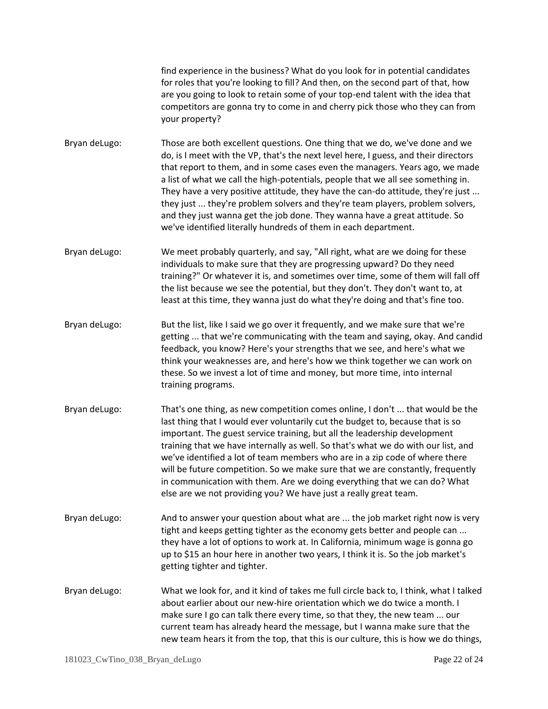find experience in the business? What do you look for in potential candidates for roles that you're looking to fill? And then, on the second part of that, how are you going to look to retain some of your top-end talent with the idea that competitors are gonna try to come in and cherry pick those who they can from your property?

Bryan deLugo: Those are both excellent questions. One thing that we do, we've done and we do, is I meet with the VP, that's the next level here, I guess, and their directors that report to them, and in some cases even the managers. Years ago, we made a list of what we call the high-potentials, people that we all see something in. They have a very positive attitude, they have the can-do attitude, they're just ... they just ... they're problem solvers and they're team players, problem solvers, and they just wanna get the job done. They wanna have a great attitude. So we've identified literally hundreds of them in each department.

Bryan deLugo: We meet probably quarterly, and say, "All right, what are we doing for these individuals to make sure that they are progressing upward? Do they need training?" Or whatever it is, and sometimes over time, some of them will fall off the list because we see the potential, but they don't. They don't want to, at least at this time, they wanna just do what they're doing and that's fine too.

- Bryan deLugo: But the list, like I said we go over it frequently, and we make sure that we're getting ... that we're communicating with the team and saying, okay. And candid feedback, you know? Here's your strengths that we see, and here's what we think your weaknesses are, and here's how we think together we can work on these. So we invest a lot of time and money, but more time, into internal training programs.
- Bryan deLugo: That's one thing, as new competition comes online, I don't ... that would be the last thing that I would ever voluntarily cut the budget to, because that is so important. The guest service training, but all the leadership development training that we have internally as well. So that's what we do with our list, and we've identified a lot of team members who are in a zip code of where there will be future competition. So we make sure that we are constantly, frequently in communication with them. Are we doing everything that we can do? What else are we not providing you? We have just a really great team.
- Bryan deLugo: And to answer your question about what are ... the job market right now is very tight and keeps getting tighter as the economy gets better and people can ... they have a lot of options to work at. In California, minimum wage is gonna go up to \$15 an hour here in another two years, I think it is. So the job market's getting tighter and tighter.
- Bryan deLugo: What we look for, and it kind of takes me full circle back to, I think, what I talked about earlier about our new-hire orientation which we do twice a month. I make sure I go can talk there every time, so that they, the new team ... our current team has already heard the message, but I wanna make sure that the new team hears it from the top, that this is our culture, this is how we do things,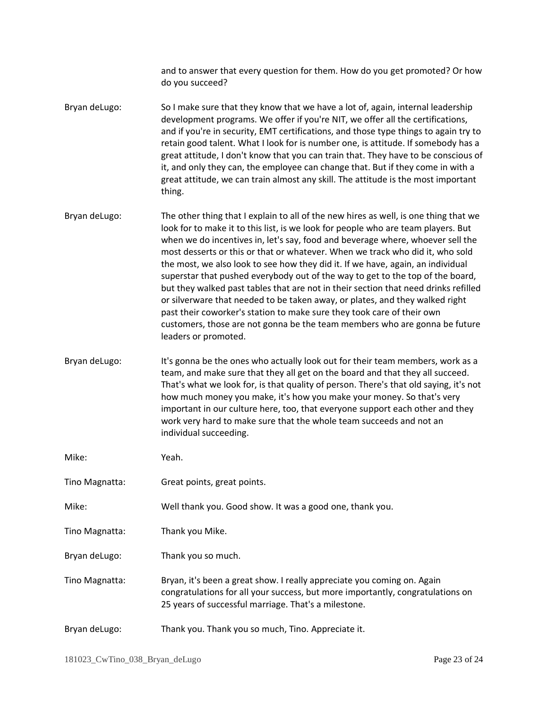and to answer that every question for them. How do you get promoted? Or how do you succeed?

- Bryan deLugo: So I make sure that they know that we have a lot of, again, internal leadership development programs. We offer if you're NIT, we offer all the certifications, and if you're in security, EMT certifications, and those type things to again try to retain good talent. What I look for is number one, is attitude. If somebody has a great attitude, I don't know that you can train that. They have to be conscious of it, and only they can, the employee can change that. But if they come in with a great attitude, we can train almost any skill. The attitude is the most important thing.
- Bryan deLugo: The other thing that I explain to all of the new hires as well, is one thing that we look for to make it to this list, is we look for people who are team players. But when we do incentives in, let's say, food and beverage where, whoever sell the most desserts or this or that or whatever. When we track who did it, who sold the most, we also look to see how they did it. If we have, again, an individual superstar that pushed everybody out of the way to get to the top of the board, but they walked past tables that are not in their section that need drinks refilled or silverware that needed to be taken away, or plates, and they walked right past their coworker's station to make sure they took care of their own customers, those are not gonna be the team members who are gonna be future leaders or promoted.
- Bryan deLugo: It's gonna be the ones who actually look out for their team members, work as a team, and make sure that they all get on the board and that they all succeed. That's what we look for, is that quality of person. There's that old saying, it's not how much money you make, it's how you make your money. So that's very important in our culture here, too, that everyone support each other and they work very hard to make sure that the whole team succeeds and not an individual succeeding.

| Mike:          | Yeah.                                                                                                                                                                                                             |
|----------------|-------------------------------------------------------------------------------------------------------------------------------------------------------------------------------------------------------------------|
| Tino Magnatta: | Great points, great points.                                                                                                                                                                                       |
| Mike:          | Well thank you. Good show. It was a good one, thank you.                                                                                                                                                          |
| Tino Magnatta: | Thank you Mike.                                                                                                                                                                                                   |
| Bryan deLugo:  | Thank you so much.                                                                                                                                                                                                |
| Tino Magnatta: | Bryan, it's been a great show. I really appreciate you coming on. Again<br>congratulations for all your success, but more importantly, congratulations on<br>25 years of successful marriage. That's a milestone. |
| Bryan deLugo:  | Thank you. Thank you so much, Tino. Appreciate it.                                                                                                                                                                |